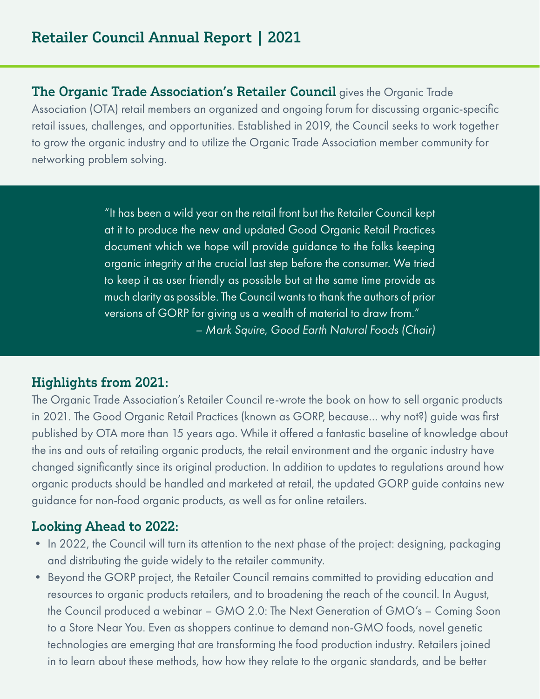The Organic Trade Association's Retailer Council gives the Organic Trade Association (OTA) retail members an organized and ongoing forum for discussing organic-specific retail issues, challenges, and opportunities. Established in 2019, the Council seeks to work together to grow the organic industry and to utilize the Organic Trade Association member community for networking problem solving.

> "It has been a wild year on the retail front but the Retailer Council kept at it to produce the new and updated Good Organic Retail Practices document which we hope will provide guidance to the folks keeping organic integrity at the crucial last step before the consumer. We tried to keep it as user friendly as possible but at the same time provide as much clarity as possible. The Council wants to thank the authors of prior versions of GORP for giving us a wealth of material to draw from." *– Mark Squire, Good Earth Natural Foods (Chair)*

## Highlights from 2021:

The Organic Trade Association's Retailer Council re-wrote the book on how to sell organic products in 2021. The Good Organic Retail Practices (known as GORP, because… why not?) guide was first published by OTA more than 15 years ago. While it offered a fantastic baseline of knowledge about the ins and outs of retailing organic products, the retail environment and the organic industry have changed significantly since its original production. In addition to updates to regulations around how organic products should be handled and marketed at retail, the updated GORP guide contains new guidance for non-food organic products, as well as for online retailers.

## Looking Ahead to 2022:

- In 2022, the Council will turn its attention to the next phase of the project: designing, packaging and distributing the guide widely to the retailer community.
- Beyond the GORP project, the Retailer Council remains committed to providing education and resources to organic products retailers, and to broadening the reach of the council. In August, the Council produced a webinar – GMO 2.0: The Next Generation of GMO's – Coming Soon to a Store Near You. Even as shoppers continue to demand non-GMO foods, novel genetic technologies are emerging that are transforming the food production industry. Retailers joined in to learn about these methods, how how they relate to the organic standards, and be better